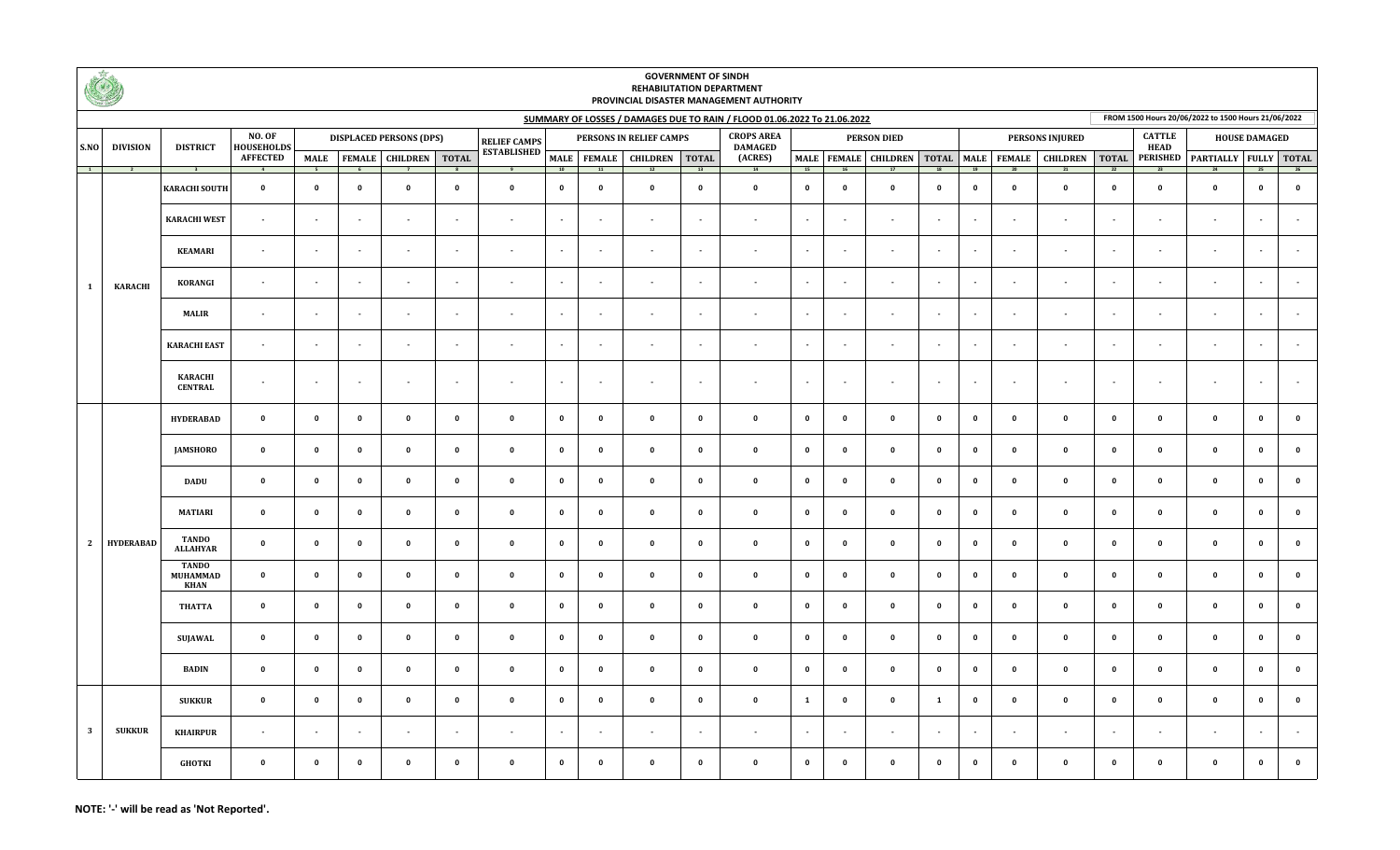|                         | KI)              |                                               | <b>GOVERNMENT OF SINDH</b><br><b>REHABILITATION DEPARTMENT</b><br>PROVINCIAL DISASTER MANAGEMENT AUTHORITY |                          |                                |                                  |                          |                          |                          |                          |                          |                                     |                                                                          |                         |                          |                          |                        |              |                          |                                                             |                          |                          |                                                     |                          |              |
|-------------------------|------------------|-----------------------------------------------|------------------------------------------------------------------------------------------------------------|--------------------------|--------------------------------|----------------------------------|--------------------------|--------------------------|--------------------------|--------------------------|--------------------------|-------------------------------------|--------------------------------------------------------------------------|-------------------------|--------------------------|--------------------------|------------------------|--------------|--------------------------|-------------------------------------------------------------|--------------------------|--------------------------|-----------------------------------------------------|--------------------------|--------------|
|                         |                  |                                               |                                                                                                            |                          |                                |                                  |                          |                          |                          |                          |                          |                                     | SUMMARY OF LOSSES / DAMAGES DUE TO RAIN / FLOOD 01.06.2022 To 21.06.2022 |                         |                          |                          |                        |              |                          |                                                             |                          |                          | FROM 1500 Hours 20/06/2022 to 1500 Hours 21/06/2022 |                          |              |
| S.NO<br>$\frac{1}{2}$   | <b>DIVISION</b>  | <b>DISTRICT</b><br>$\overline{\phantom{a}}$ 3 | <b>NO. OF</b><br>HOUSEHOLDS<br><b>AFFECTED</b>                                                             |                          | <b>DISPLACED PERSONS (DPS)</b> |                                  |                          | <b>RELIEF CAMPS</b>      | PERSONS IN RELIEF CAMPS  |                          |                          | <b>CROPS AREA</b><br><b>DAMAGED</b> | <b>PERSON DIED</b>                                                       |                         |                          |                          | <b>PERSONS INJURED</b> |              |                          | <b>CATTLE</b><br><b>HEAD</b>                                |                          | <b>HOUSE DAMAGED</b>     |                                                     |                          |              |
|                         | $\overline{2}$   |                                               |                                                                                                            |                          |                                | MALE   FEMALE   CHILDREN   TOTAL |                          | <b>ESTABLISHED</b>       | <b>MALE</b><br>10        |                          | FEMALE CHILDREN TOTAL    | 13                                  | (ACRES)<br>14                                                            | 15                      | 16                       |                          | 18                     | 19           | 20                       | MALE   FEMALE   CHILDREN   TOTAL   MALE   FEMALE   CHILDREN | $\overline{22}$          | 23                       | TOTAL PERISHED PARTIALLY FULLY TOTAL<br>24          | 25                       | 26           |
| 1                       |                  | <b>KARACHI SOUTH</b>                          | $\mathbf 0$                                                                                                | $\mathbf{0}$             | $\mathbf{0}$                   | $\pmb{0}$                        | $\mathbf 0$              | $\pmb{\mathsf{o}}$       | $\mathbf 0$              | $\mathbf 0$              | $\mathbf 0$              | $\mathbf 0$                         | $\mathbf 0$                                                              | $\mathbf 0$             | $\mathbf 0$              | $\mathbf{0}$             | $\mathbf 0$            | $\mathbf{0}$ | $\mathbf{o}$             | $\mathbf 0$                                                 | $\mathbf{0}$             | $\mathbf{0}$             | $\mathbf 0$                                         | $\mathbf{0}$             | $\mathbf 0$  |
|                         |                  | <b>KARACHI WEST</b>                           | $\overline{\phantom{a}}$                                                                                   | $\overline{\phantom{a}}$ | $\sim$                         | $\sim$                           | $\sim$                   | $\overline{\phantom{a}}$ | $\overline{\phantom{a}}$ | $\overline{\phantom{a}}$ | $\sim$                   | $\sim$                              | $\sim$                                                                   | $\sim$                  | $\overline{\phantom{a}}$ | $\sim$                   | $\sim$                 | $\sim$       | $\overline{\phantom{a}}$ | $\sim$                                                      | $\sim$                   | $\overline{\phantom{a}}$ | $\sim$                                              | $\overline{\phantom{a}}$ |              |
|                         |                  | <b>KEAMARI</b>                                | $\sim$                                                                                                     | $\overline{a}$           | $\sim$                         | $\sim$                           | $\sim$                   | $\overline{a}$           | $\sim$                   | $\sim$                   | $\overline{\phantom{a}}$ | $\sim$                              | $\overline{\phantom{a}}$                                                 | $\sim$                  | $\sim$                   | $\sim$                   | $\sim$                 | $\sim$       | $\overline{\phantom{a}}$ | $\sim$                                                      | $\overline{a}$           | $\overline{\phantom{a}}$ | $\overline{a}$                                      | $\overline{\phantom{a}}$ |              |
|                         | <b>KARACHI</b>   | KORANGI                                       | $\sim$                                                                                                     | $\overline{\phantom{a}}$ | $\sim$                         | $\sim$                           | $\sim$                   | $\sim$                   | $\sim$                   | $\overline{\phantom{a}}$ | $\sim$                   | $\sim$                              | $\sim$                                                                   | $\sim$                  | $\overline{\phantom{a}}$ | $\overline{\phantom{a}}$ | $\sim$                 | $\sim$       | $\overline{\phantom{a}}$ | $\sim$                                                      | $\sim$                   | $\overline{\phantom{a}}$ | $\sim$                                              | $\sim$                   |              |
|                         |                  | MALIR                                         | $\blacksquare$                                                                                             | $\overline{\phantom{a}}$ | $\sim$                         | $\sim$                           | $\blacksquare$           | $\overline{\phantom{a}}$ | $\overline{\phantom{a}}$ | $\overline{\phantom{a}}$ | $\blacksquare$           | $\sim$                              | $\overline{\phantom{a}}$                                                 | $\sim$                  | $\overline{\phantom{a}}$ | $\sim$                   | $\sim$                 | $\sim$       | $\overline{\phantom{a}}$ | $\overline{\phantom{a}}$                                    | $\overline{\phantom{a}}$ | $\overline{\phantom{a}}$ | $\overline{\phantom{a}}$                            |                          |              |
|                         |                  | <b>KARACHI EAST</b>                           | $\sim$                                                                                                     | $\overline{\phantom{a}}$ | $\sim$                         | $\sim$                           | $\sim$                   | $\sim$                   | $\sim$                   | $\sim$                   | $\blacksquare$           | $\sim$                              | $\sim$                                                                   | $\sim$                  | $\sim$                   | $\sim$                   | $\sim$                 | $\sim$       | $\overline{\phantom{a}}$ | $\sim$                                                      | $\sim$                   | $\overline{\phantom{a}}$ | $\sim$                                              | $\overline{\phantom{a}}$ |              |
|                         |                  | KARACHI<br><b>CENTRAL</b>                     | $\sim$                                                                                                     | $\overline{\phantom{a}}$ | $\sim$                         | $\sim$                           | $\sim$                   | $\overline{\phantom{a}}$ | $\blacksquare$           | $\sim$                   | $\sim$                   | $\sim$                              | $\sim$                                                                   | $\sim$                  | $\overline{\phantom{a}}$ | $\sim$                   | $\sim$                 | $\sim$       | $\blacksquare$           | $\sim$                                                      | $\blacksquare$           | $\overline{\phantom{a}}$ | $\overline{\phantom{a}}$                            | $\overline{\phantom{a}}$ |              |
|                         | <b>HYDERABAD</b> | <b>HYDERABAD</b>                              | $\mathbf 0$                                                                                                | $\mathbf 0$              | $\mathbf 0$                    | $\mathbf 0$                      | $\mathbf 0$              | $\mathbf{0}$             | $\mathbf 0$              | $\mathbf 0$              | $\mathbf 0$              | $\mathbf 0$                         | $\mathbf 0$                                                              | $\mathbf 0$             | $\mathbf 0$              | $\mathbf 0$              | $\mathbf{0}$           | $\mathbf 0$  | $\mathbf 0$              | $\mathbf 0$                                                 | $\mathbf 0$              | $\mathbf 0$              | $\mathbf 0$                                         | $\mathbf 0$              | $\mathbf 0$  |
|                         |                  | <b>JAMSHORO</b>                               | $\mathbf 0$                                                                                                | $\overline{\mathbf{0}}$  | $\mathbf 0$                    | $\mathbf 0$                      | $\mathbf 0$              | $\bullet$                | $\mathbf{0}$             | $\mathbf 0$              | $\mathbf{0}$             | $\mathbf{0}$                        | $\mathbf 0$                                                              | $\mathbf{0}$            | $\mathbf 0$              | $\mathbf 0$              | $\mathbf 0$            | $\mathbf 0$  | $\overline{\mathbf{0}}$  | 0                                                           | $\overline{\mathbf{0}}$  | $\mathbf 0$              | $\mathbf{0}$                                        | $\mathbf 0$              | $\mathbf 0$  |
|                         |                  | <b>DADU</b>                                   | $\mathbf 0$                                                                                                | $\mathbf 0$              | $\mathbf 0$                    | $\mathbf 0$                      | $\overline{\mathbf{0}}$  | $\mathbf 0$              | $\overline{\mathbf{0}}$  | $\mathbf 0$              | $\mathbf 0$              | $\mathbf 0$                         | $\mathbf 0$                                                              | $\mathbf 0$             | $\mathbf 0$              | $\mathbf 0$              | $\mathbf 0$            | $\mathbf 0$  | $\mathbf{0}$             | $\pmb{\mathsf{o}}$                                          | $\mathbf{0}$             | $\mathbf 0$              | $\mathbf 0$                                         | $\mathbf 0$              | $\mathbf 0$  |
|                         |                  | <b>MATIARI</b>                                | $\mathbf 0$                                                                                                | $\mathbf{0}$             | $\mathbf{0}$                   | $\mathbf 0$                      | $\mathbf 0$              | $\mathbf 0$              | $\mathbf{0}$             | $\mathbf 0$              | $\mathbf 0$              | $\mathbf 0$                         | $\mathbf 0$                                                              | $\mathbf 0$             | $\mathbf 0$              | $\mathbf 0$              | $\mathbf 0$            | $\mathbf 0$  | $\mathbf 0$              | $\mathbf 0$                                                 | $\mathbf 0$              | $\mathbf 0$              | $\mathbf 0$                                         | 0                        | $\mathbf 0$  |
| <sup>2</sup>            |                  | <b>TANDO</b><br>ALLAHYAR                      | $\mathbf 0$                                                                                                | $\mathbf 0$              | $\mathbf 0$                    | $\mathbf 0$                      | $\mathbf 0$              | $\bullet$                | $\mathbf{0}$             | 0                        | $\mathbf 0$              | $\mathbf 0$                         | $\mathbf 0$                                                              | $\mathbf 0$             | $\mathbf 0$              | $\mathbf 0$              | $\pmb{0}$              | $\mathbf 0$  | $\mathbf 0$              | $\mathbf 0$                                                 | $\mathbf 0$              | $\mathbf 0$              | $\mathbf 0$                                         | $\mathbf 0$              | $\mathbf{0}$ |
|                         |                  | <b>TANDO</b><br>MUHAMMAD<br><b>KHAN</b>       | $\mathbf 0$                                                                                                | $\mathbf 0$              | $\mathbf{0}$                   | $\mathbf 0$                      | $\mathbf 0$              | $\mathbf 0$              | $\mathbf 0$              | $\mathbf{o}$             | $\mathbf 0$              | $\mathbf{o}$                        | $\mathbf 0$                                                              | $\mathbf{o}$            | $\mathbf 0$              | $\mathbf 0$              | $\mathbf 0$            | $\mathbf{0}$ | $\overline{\mathbf{0}}$  | $\mathbf 0$                                                 | $\mathbf{0}$             | $\mathbf{o}$             | $\mathbf 0$                                         | $\mathbf{o}$             | $\mathbf 0$  |
|                         |                  | <b>THATTA</b>                                 | $\mathbf 0$                                                                                                | $\mathbf 0$              | $\mathbf{0}$                   | $\pmb{0}$                        | $\mathbf 0$              | $\mathbf 0$              | $\mathbf 0$              | $\mathbf 0$              | $\mathbf 0$              | $\mathbf 0$                         | $\mathbf 0$                                                              | $\mathbf{0}$            | $\mathbf 0$              | $\mathbf 0$              | $\mathbf 0$            | $\mathbf{0}$ | $\mathbf{o}$             | $\pmb{0}$                                                   | $\mathbf 0$              | $\mathbf 0$              | $\mathbf 0$                                         | $\pmb{\mathsf{o}}$       | $\pmb{0}$    |
|                         |                  | SUJAWAL                                       | $\mathbf 0$                                                                                                | 0                        | $\mathbf 0$                    | $\mathbf 0$                      | $\mathbf 0$              | $\mathbf 0$              | $\mathbf 0$              | $\mathbf 0$              | $\mathbf 0$              | $\mathbf 0$                         | $\mathbf 0$                                                              | $\mathbf 0$             | $\mathbf 0$              | $\mathbf 0$              | $\mathbf 0$            | $\mathbf 0$  | $\mathbf 0$              | $\pmb{0}$                                                   | $\mathbf 0$              | $\mathbf 0$              | $\mathbf 0$                                         | $\mathbf 0$              | $\mathbf{0}$ |
|                         |                  | <b>BADIN</b>                                  | $\mathbf 0$                                                                                                | $\mathbf{0}$             | $\mathbf{0}$                   | $\mathbf 0$                      | $\mathbf 0$              | $\bullet$                | $\mathbf{0}$             | $\mathbf 0$              | $\mathbf 0$              | $\mathbf 0$                         | $\mathbf 0$                                                              | $\overline{\mathbf{0}}$ | $\mathbf 0$              | $\mathbf 0$              | $\mathbf{0}$           | $\mathbf{0}$ | $\overline{\mathbf{0}}$  | $\pmb{\mathsf{o}}$                                          | $\mathbf{0}$             | $\mathbf 0$              | $\mathbf{0}$                                        | $\mathbf 0$              | $\mathbf 0$  |
|                         |                  | <b>SUKKUR</b>                                 | $\mathbf 0$                                                                                                | $\mathbf 0$              | $\mathbf 0$                    | $\mathbf 0$                      | $\mathbf 0$              | $\mathbf 0$              | $\mathbf 0$              | $\mathbf 0$              | $\mathbf 0$              | $\mathbf 0$                         | $\mathbf 0$                                                              | $\mathbf{1}$            | $\mathbf 0$              | $\mathbf 0$              | 1                      | $\mathbf 0$  | $\mathbf 0$              | 0                                                           | $\mathbf 0$              | $\mathbf 0$              | $\mathbf 0$                                         | $\mathbf 0$              | 0            |
| $\overline{\mathbf{3}}$ | <b>SUKKUR</b>    | <b>KHAIRPUR</b>                               | $\overline{\phantom{a}}$                                                                                   | $\overline{\phantom{a}}$ | $\sim$                         | $\sim$                           | $\overline{\phantom{a}}$ | $\overline{\phantom{a}}$ | $\overline{\phantom{a}}$ | $\overline{\phantom{a}}$ | $\overline{\phantom{a}}$ | $\sim$                              | $\sim$                                                                   | $\sim$                  | $\overline{\phantom{a}}$ | $\sim$                   | $\sim$                 | $\sim$       |                          | $\overline{\phantom{a}}$                                    | $\overline{\phantom{a}}$ | $\overline{\phantom{a}}$ | $\overline{\phantom{a}}$                            |                          |              |
|                         |                  | <b>GHOTKI</b>                                 | $\mathbf 0$                                                                                                | $\mathbf{0}$             | $\mathbf 0$                    | $\mathbf{0}$                     | $\mathbf 0$              | $\mathbf 0$              | $\mathbf 0$              | 0                        | $\mathbf 0$              | $\mathbf 0$                         | $\mathbf 0$                                                              | $\pmb{0}$               | $\mathbf 0$              | $\mathbf 0$              | $\mathbf 0$            | $\mathbf 0$  | $\mathbf 0$              | $\mathbf{0}$                                                | $\mathbf 0$              | $\mathbf{0}$             | $\mathbf{o}$                                        | $\pmb{\mathsf{o}}$       | $\mathbf{0}$ |